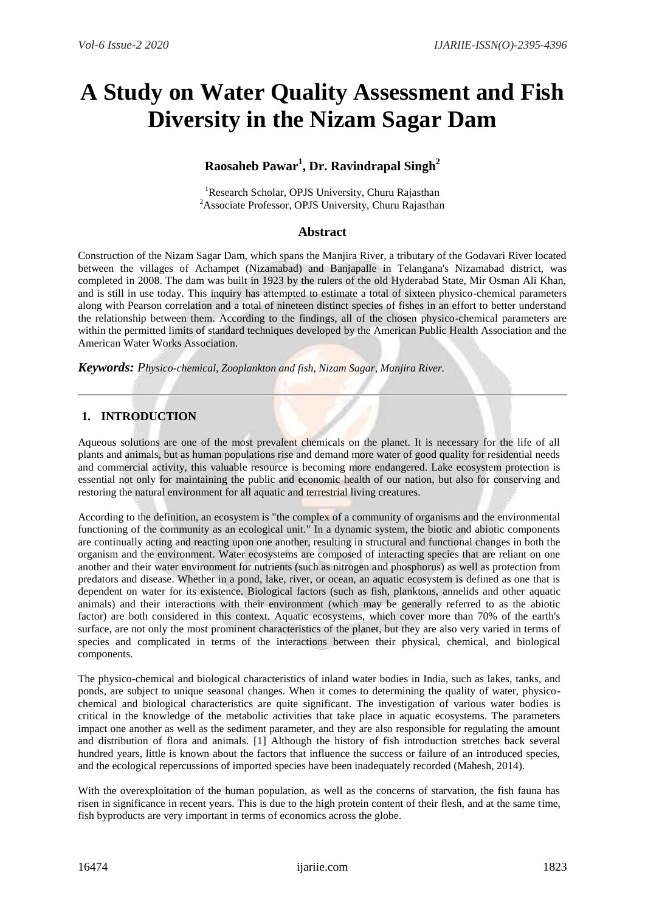# **A Study on Water Quality Assessment and Fish Diversity in the Nizam Sagar Dam**

## **Raosaheb Pawar<sup>1</sup> , Dr. Ravindrapal Singh<sup>2</sup>**

<sup>1</sup>Research Scholar, OPJS University, Churu Rajasthan <sup>2</sup> Associate Professor, OPJS University, Churu Rajasthan

## **Abstract**

Construction of the Nizam Sagar Dam, which spans the Manjira River, a tributary of the Godavari River located between the villages of Achampet (Nizamabad) and Banjapalle in Telangana's Nizamabad district, was completed in 2008. The dam was built in 1923 by the rulers of the old Hyderabad State, Mir Osman Ali Khan, and is still in use today. This inquiry has attempted to estimate a total of sixteen physico-chemical parameters along with Pearson correlation and a total of nineteen distinct species of fishes in an effort to better understand the relationship between them. According to the findings, all of the chosen physico-chemical parameters are within the permitted limits of standard techniques developed by the American Public Health Association and the American Water Works Association.

*Keywords: Physico-chemical, Zooplankton and fish, Nizam Sagar, Manjira River.*

## **1. INTRODUCTION**

Aqueous solutions are one of the most prevalent chemicals on the planet. It is necessary for the life of all plants and animals, but as human populations rise and demand more water of good quality for residential needs and commercial activity, this valuable resource is becoming more endangered. Lake ecosystem protection is essential not only for maintaining the public and economic health of our nation, but also for conserving and restoring the natural environment for all aquatic and terrestrial living creatures.

According to the definition, an ecosystem is "the complex of a community of organisms and the environmental functioning of the community as an ecological unit." In a dynamic system, the biotic and abiotic components are continually acting and reacting upon one another, resulting in structural and functional changes in both the organism and the environment. Water ecosystems are composed of interacting species that are reliant on one another and their water environment for nutrients (such as nitrogen and phosphorus) as well as protection from predators and disease. Whether in a pond, lake, river, or ocean, an aquatic ecosystem is defined as one that is dependent on water for its existence. Biological factors (such as fish, planktons, annelids and other aquatic animals) and their interactions with their environment (which may be generally referred to as the abiotic factor) are both considered in this context. Aquatic ecosystems, which cover more than 70% of the earth's surface, are not only the most prominent characteristics of the planet, but they are also very varied in terms of species and complicated in terms of the interactions between their physical, chemical, and biological components.

The physico-chemical and biological characteristics of inland water bodies in India, such as lakes, tanks, and ponds, are subject to unique seasonal changes. When it comes to determining the quality of water, physicochemical and biological characteristics are quite significant. The investigation of various water bodies is critical in the knowledge of the metabolic activities that take place in aquatic ecosystems. The parameters impact one another as well as the sediment parameter, and they are also responsible for regulating the amount and distribution of flora and animals. [1] Although the history of fish introduction stretches back several hundred years, little is known about the factors that influence the success or failure of an introduced species, and the ecological repercussions of imported species have been inadequately recorded (Mahesh, 2014).

With the overexploitation of the human population, as well as the concerns of starvation, the fish fauna has risen in significance in recent years. This is due to the high protein content of their flesh, and at the same time, fish byproducts are very important in terms of economics across the globe.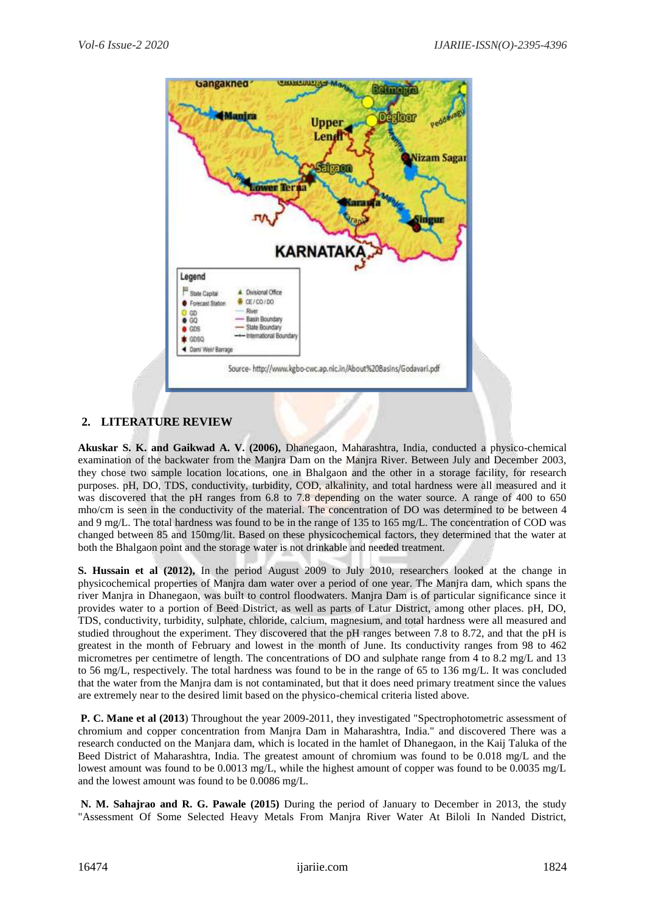

## **2. LITERATURE REVIEW**

**Akuskar S. K. and Gaikwad A. V. (2006),** Dhanegaon, Maharashtra, India, conducted a physico-chemical examination of the backwater from the Manjra Dam on the Manjra River. Between July and December 2003, they chose two sample location locations, one in Bhalgaon and the other in a storage facility, for research purposes. pH, DO, TDS, conductivity, turbidity, COD, alkalinity, and total hardness were all measured and it was discovered that the pH ranges from 6.8 to 7.8 depending on the water source. A range of 400 to 650 mho/cm is seen in the conductivity of the material. The concentration of DO was determined to be between 4 and 9 mg/L. The total hardness was found to be in the range of 135 to 165 mg/L. The concentration of COD was changed between 85 and 150mg/lit. Based on these physicochemical factors, they determined that the water at both the Bhalgaon point and the storage water is not drinkable and needed treatment.

**S. Hussain et al (2012),** In the period August 2009 to July 2010, researchers looked at the change in physicochemical properties of Manjra dam water over a period of one year. The Manjra dam, which spans the river Manjra in Dhanegaon, was built to control floodwaters. Manjra Dam is of particular significance since it provides water to a portion of Beed District, as well as parts of Latur District, among other places. pH, DO, TDS, conductivity, turbidity, sulphate, chloride, calcium, magnesium, and total hardness were all measured and studied throughout the experiment. They discovered that the pH ranges between 7.8 to 8.72, and that the pH is greatest in the month of February and lowest in the month of June. Its conductivity ranges from 98 to 462 micrometres per centimetre of length. The concentrations of DO and sulphate range from 4 to 8.2 mg/L and 13 to 56 mg/L, respectively. The total hardness was found to be in the range of 65 to 136 mg/L. It was concluded that the water from the Manjra dam is not contaminated, but that it does need primary treatment since the values are extremely near to the desired limit based on the physico-chemical criteria listed above.

**P. C. Mane et al (2013**) Throughout the year 2009-2011, they investigated "Spectrophotometric assessment of chromium and copper concentration from Manjra Dam in Maharashtra, India." and discovered There was a research conducted on the Manjara dam, which is located in the hamlet of Dhanegaon, in the Kaij Taluka of the Beed District of Maharashtra, India. The greatest amount of chromium was found to be 0.018 mg/L and the lowest amount was found to be 0.0013 mg/L, while the highest amount of copper was found to be 0.0035 mg/L and the lowest amount was found to be 0.0086 mg/L.

**N. M. Sahajrao and R. G. Pawale (2015)** During the period of January to December in 2013, the study "Assessment Of Some Selected Heavy Metals From Manjra River Water At Biloli In Nanded District,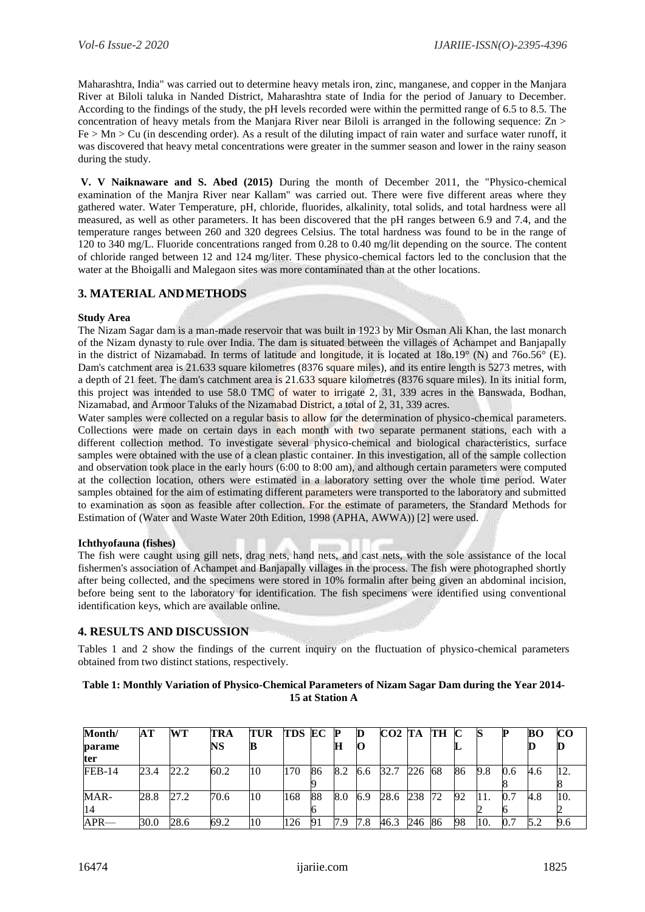Maharashtra, India" was carried out to determine heavy metals iron, zinc, manganese, and copper in the Manjara River at Biloli taluka in Nanded District, Maharashtra state of India for the period of January to December. According to the findings of the study, the pH levels recorded were within the permitted range of 6.5 to 8.5. The concentration of heavy metals from the Manjara River near Biloli is arranged in the following sequence: Zn >  $Fe > Mn > Cu$  (in descending order). As a result of the diluting impact of rain water and surface water runoff, it was discovered that heavy metal concentrations were greater in the summer season and lower in the rainy season during the study.

**V. V Naiknaware and S. Abed (2015)** During the month of December 2011, the "Physico-chemical examination of the Manjra River near Kallam" was carried out. There were five different areas where they gathered water. Water Temperature, pH, chloride, fluorides, alkalinity, total solids, and total hardness were all measured, as well as other parameters. It has been discovered that the pH ranges between 6.9 and 7.4, and the temperature ranges between 260 and 320 degrees Celsius. The total hardness was found to be in the range of 120 to 340 mg/L. Fluoride concentrations ranged from 0.28 to 0.40 mg/lit depending on the source. The content of chloride ranged between 12 and 124 mg/liter. These physico-chemical factors led to the conclusion that the water at the Bhoigalli and Malegaon sites was more contaminated than at the other locations.

## **3. MATERIAL ANDMETHODS**

#### **Study Area**

The Nizam Sagar dam is a man-made reservoir that was built in 1923 by Mir Osman Ali Khan, the last monarch of the Nizam dynasty to rule over India. The dam is situated between the villages of Achampet and Banjapally in the district of Nizamabad. In terms of latitude and longitude, it is located at 18o.19° (N) and 76o.56° (E). Dam's catchment area is 21.633 square kilometres (8376 square miles), and its entire length is 5273 metres, with a depth of 21 feet. The dam's catchment area is 21.633 square kilometres (8376 square miles). In its initial form, this project was intended to use 58.0 TMC of water to irrigate 2, 31, 339 acres in the Banswada, Bodhan, Nizamabad, and Armoor Taluks of the Nizamabad District, a total of 2, 31, 339 acres.

Water samples were collected on a regular basis to allow for the determination of physico-chemical parameters. Collections were made on certain days in each month with two separate permanent stations, each with a different collection method. To investigate several physico-chemical and biological characteristics, surface samples were obtained with the use of a clean plastic container. In this investigation, all of the sample collection and observation took place in the early hours (6:00 to 8:00 am), and although certain parameters were computed at the collection location, others were estimated in a laboratory setting over the whole time period. Water samples obtained for the aim of estimating different parameters were transported to the laboratory and submitted to examination as soon as feasible after collection. For the estimate of parameters, the Standard Methods for Estimation of (Water and Waste Water 20th Edition, 1998 (APHA, AWWA)) [2] were used.

#### **Ichthyofauna (fishes)**

The fish were caught using gill nets, drag nets, hand nets, and cast nets, with the sole assistance of the local fishermen's association of Achampet and Banjapally villages in the process. The fish were photographed shortly after being collected, and the specimens were stored in 10% formalin after being given an abdominal incision, before being sent to the laboratory for identification. The fish specimens were identified using conventional identification keys, which are available online.

#### **4. RESULTS AND DISCUSSION**

Tables 1 and 2 show the findings of the current inquiry on the fluctuation of physico-chemical parameters obtained from two distinct stations, respectively.

#### **Table 1: Monthly Variation of Physico-Chemical Parameters of Nizam Sagar Dam during the Year 2014- 15 at Station A**

| Month/        | AT   | WТ   | TRA  | TUR | <b>TDS EC</b> |    |     | D   | CO <sub>2</sub> T <sub>A</sub> |     | TH  |    |     |     | BО  | CO. |
|---------------|------|------|------|-----|---------------|----|-----|-----|--------------------------------|-----|-----|----|-----|-----|-----|-----|
| parame        |      |      | NS   |     |               |    |     |     |                                |     |     |    |     |     |     |     |
| ter           |      |      |      |     |               |    |     |     |                                |     |     |    |     |     |     |     |
| <b>FEB-14</b> | 23.4 | 22.2 | 60.2 | 10  | 170           | 86 | 8.2 | 6.6 | 32.7                           | 226 | 68  | 86 | 9.8 | 0.6 | 4.6 | 12. |
|               |      |      |      |     |               |    |     |     |                                |     |     |    |     |     |     |     |
| MAR-          | 28.8 | 27.2 | 70.6 | 10  | 168           | 88 | 8.0 | 6.9 | 28.6                           | 238 | 72  | 92 | 11. |     | 4.8 | 10. |
| 14            |      |      |      |     |               |    |     |     |                                |     |     |    |     |     |     |     |
| $APR$ —       | 30.0 | 28.6 | 69.2 | 10  | 126           | 91 | 7.9 | 7.8 | 46.3                           | 246 | -86 | 98 | 10. |     |     | 9.6 |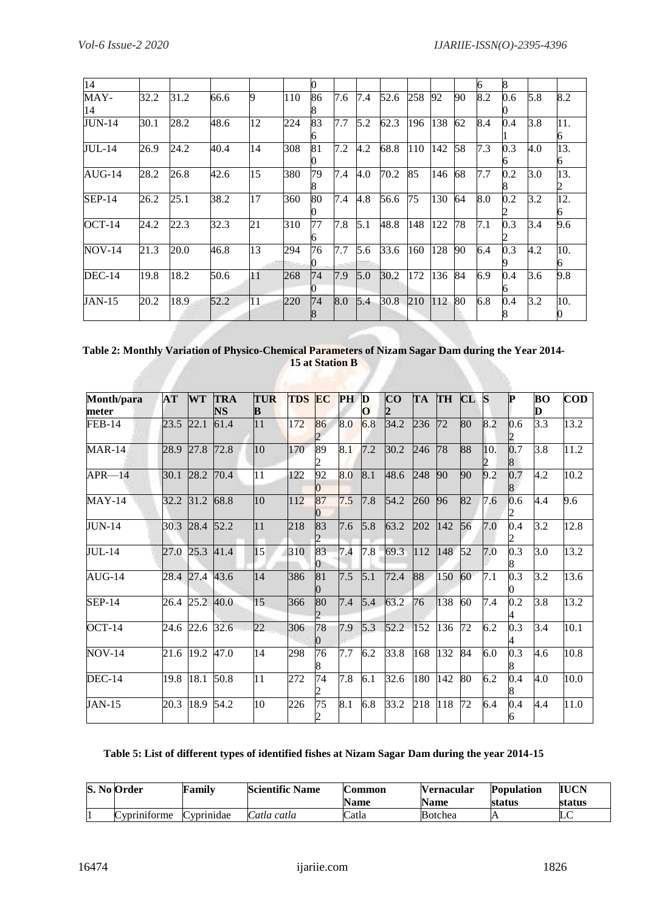| 14            |      |      |      |    |     | 0  |     |     |      |     |     |    | 6   | 8   |     |     |
|---------------|------|------|------|----|-----|----|-----|-----|------|-----|-----|----|-----|-----|-----|-----|
| MAY-          | 32.2 | 31.2 | 66.6 | 9  | 110 | 86 | 7.6 | 7.4 | 52.6 | 258 | 92  | 90 | 8.2 | 0.6 | 5.8 | 8.2 |
| 14            |      |      |      |    |     |    |     |     |      |     |     |    |     |     |     |     |
| <b>JUN-14</b> | 30.1 | 28.2 | 48.6 | 12 | 224 | 83 | 7.7 | 5.2 | 62.3 | 196 | 138 | 62 | 8.4 | 0.4 | 3.8 | 11. |
|               |      |      |      |    |     |    |     |     |      |     |     |    |     |     |     |     |
| <b>JUL-14</b> | 26.9 | 24.2 | 40.4 | 14 | 308 | 81 | 7.2 | 4.2 | 68.8 | 110 | 142 | 58 | 7.3 | 0.3 | 4.0 | 13. |
|               |      |      |      |    |     |    |     |     |      |     |     |    |     |     |     |     |
| $AUG-14$      | 28.2 | 26.8 | 42.6 | 15 | 380 | 79 | 7.4 | 4.0 | 70.2 | 85  | 146 | 68 | 7.7 | 0.2 | 3.0 | 13. |
|               |      |      |      |    |     |    |     |     |      |     |     |    |     |     |     |     |
| $SEP-14$      | 26.2 | 25.1 | 38.2 | 17 | 360 | 80 | 7.4 | 4.8 | 56.6 | 75  | 130 | 64 | 8.0 | 0.2 | 3.2 | 12. |
|               |      |      |      |    |     |    |     |     |      |     |     |    |     |     |     |     |
| $OCT-14$      | 24.2 | 22.3 | 32.3 | 21 | 310 | 77 | 7.8 | 5.1 | 48.8 | 148 | 122 | 78 | 7.1 | 0.3 | 3.4 | 9.6 |
|               |      |      |      |    |     |    |     |     |      |     |     |    |     |     |     |     |
| <b>NOV-14</b> | 21.3 | 20.0 | 46.8 | 13 | 294 | 76 | 7.7 | 5.6 | 33.6 | 160 | 128 | 90 | 6.4 | 0.3 | 4.2 | 10. |
|               |      |      |      |    |     |    |     |     |      |     |     |    |     |     |     |     |
| $DEC-14$      | 19.8 | 18.2 | 50.6 | 11 | 268 | 74 | 7.9 | 5.0 | 30.2 | 172 | 136 | 84 | 6.9 | 0.4 | 3.6 | 9.8 |
|               |      |      |      |    |     |    |     |     |      |     |     |    |     |     |     |     |
| <b>JAN-15</b> | 20.2 | 18.9 | 52.2 | 11 | 220 | 74 | 8.0 | 5.4 | 30.8 | 210 | 112 | 80 | 6.8 | 0.4 | 3.2 | 10. |
|               |      |      |      |    |     |    |     |     |      |     |     |    |     |     |     |     |

| Table 2: Monthly Variation of Physico-Chemical Parameters of Nizam Sagar Dam during the Year 2014- |  |
|----------------------------------------------------------------------------------------------------|--|
| <b>15 at Station B</b>                                                                             |  |
|                                                                                                    |  |

| Month/para<br>meter | AT   | <b>WT</b> | <b>TRA</b><br>NS | <b>TUR</b><br>B | <b>TDS</b> | EC              | <b>PH</b> | D<br>Օ | $\overline{\mathbf{C}}$ | <b>TA</b> | <b>TH</b> | CL | S   | Þ                | BO<br>D          | <b>COD</b> |
|---------------------|------|-----------|------------------|-----------------|------------|-----------------|-----------|--------|-------------------------|-----------|-----------|----|-----|------------------|------------------|------------|
| <b>FEB-14</b>       | 23.5 | 22.1      | 61.4             | 11              | 172        | 86              | 8.0       | 6.8    | 34.2                    | 236       | 72        | 80 | 8.2 | 0.6              | 3.3              | 13.2       |
| <b>MAR-14</b>       | 28.9 | 27.8      | 72.8             | $ 10\rangle$    | 170        | 89              | 8.1       | 7.2    | 30.2                    | 246       | 78        | 88 | 10. | 0.7              | $\overline{3.8}$ | 11.2       |
| $APR - 14$          | 30.1 | 28.2      | 70.4             | 11              | 122        | 92              | 0.8       | 8.1    | 48.6                    | 248       | 90        | 90 | 9.2 | 0.7              | 4.2              | 10.2       |
| $MAY-14$            | 32.2 | 31.2      | 68.8             | 10              | 112        | 87              | 7.5       | 7.8    | 54.2                    | 260       | 96        | 82 | 7.6 | 0.6              | 4.4              | 9.6        |
| <b>JUN-14</b>       | 30.3 | 28.4      | 52.2             | 11              | 218        | 83              | 7.6       | 5.8    | 63.2                    | 202       | 142       | 56 | 7.0 | 0.4              | 3.2              | 12.8       |
| <b>JUL-14</b>       | 27.0 | 25.3      | 41.4             | 15              | 310        | 83              | 7.4       | 7.8    | 69.3                    | 112       | 148       | 52 | 7.0 | 0.3              | 3.0              | 13.2       |
| $AUG-14$            | 28.4 | 27.4      | 43.6             | 14              | 386        | 81              | 7.5       | 5.1    | 72.4                    | 88        | 150       | 60 | 7.1 | 0.3              | 3.2              | 13.6       |
| $SEP-14$            | 26.4 | 25.2      | 40.0             | 15              | 366        | 80              | 7.4       | 5.4    | 63.2                    | 76        | 138       | 60 | 7.4 | 0.2              | 3.8              | 13.2       |
| $OCT-14$            | 24.6 | 22.6      | 32.6             | $\overline{22}$ | 306        | 78              | 7.9       | 5.3    | 52.2                    | 152       | 136       | 72 | 6.2 | $\overline{0.3}$ | 3.4              | 10.1       |
| <b>NOV-14</b>       |      | 21.6 19.2 | 47.0             | 14              | 298        | 76              | 7.7       | 6.2    | 33.8                    | 168       | 132       | 84 | 6.0 | $\overline{0.3}$ | 4.6              | 10.8       |
| <b>DEC-14</b>       | 19.8 | 18.1      | 50.8             | 11              | 272        | $\overline{74}$ | 7.8       | 6.1    | 32.6                    | 180       | 142       | 80 | 6.2 | 0.4              | 4.0              | 10.0       |
| <b>JAN-15</b>       | 20.3 | 18.9      | 54.2             | 10              | 226        | $\overline{75}$ | 8.1       | 6.8    | 33.2                    | 218       | 118       | 72 | 6.4 | 0.4              | 4.4              | 11.0       |

## **Table 5: List of different types of identified fishes at Nizam Sagar Dam during the year 2014-15**

| S. No Order                    | Family     | <b>Scientific Name</b> | <b>Common</b><br><b>Name</b> | <b>Vernacular</b><br><b>Name</b> | <b>Population</b><br>status | <b>IUCN</b><br>status |
|--------------------------------|------------|------------------------|------------------------------|----------------------------------|-----------------------------|-----------------------|
| $\cdot$ $\sim$<br>Cyprinitorme | Cyprinidae | Catla catla            | Catla                        | Botchea                          |                             | ப                     |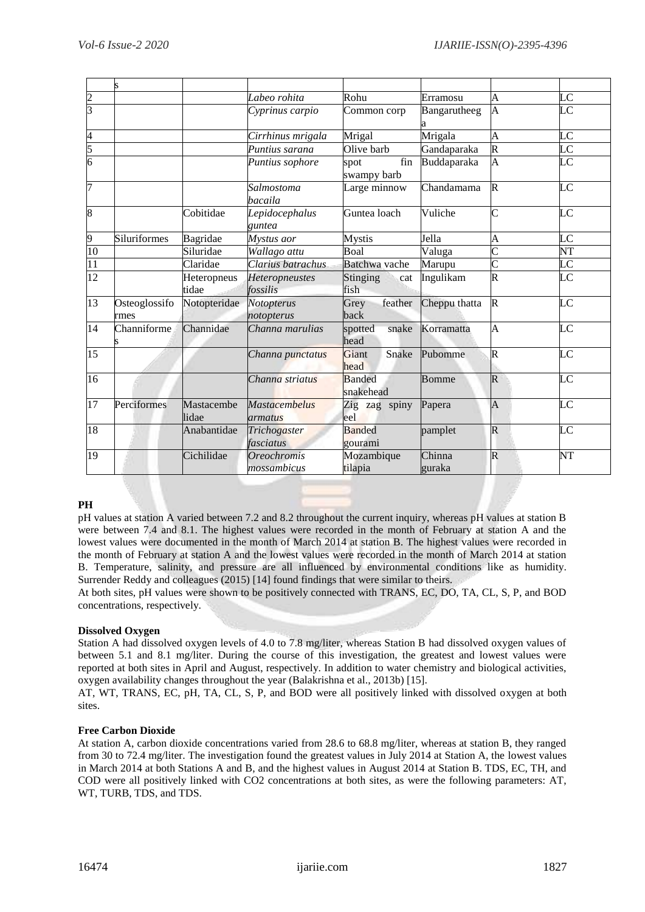| 2               |                       |                      | Labeo rohita                             | Rohu                       | Erramosu         | A                       | $_{\rm LC}$            |
|-----------------|-----------------------|----------------------|------------------------------------------|----------------------------|------------------|-------------------------|------------------------|
| $\overline{3}$  |                       |                      | Cyprinus carpio                          | Common corp                | Bangarutheeg     | $\overline{A}$          | $\overline{\rm LC}$    |
| 4               |                       |                      | Cirrhinus mrigala                        | Mrigal                     | Mrigala          | A                       | LC                     |
| 5               |                       |                      | Puntius sarana                           | Olive barb                 | Gandaparaka      | $\overline{\mathsf{R}}$ | $\overline{\rm LC}$    |
| 6               |                       |                      | Puntius sophore                          | fin<br>spot<br>swampy barb | Buddaparaka      | A                       | $\overline{\text{LC}}$ |
|                 |                       |                      | Salmostoma<br>bacaila                    | Large minnow               | Chandamama       | $\mathbb{R}$            | LC                     |
| 8               |                       | Cobitidae            | Lepidocephalus<br>guntea                 | Guntea loach               | Vuliche          | $\mathsf{C}% _{\alpha}$ | LC                     |
| 9               | Siluriformes          | Bagridae             | Mystus aor                               | <b>Mystis</b>              | Jella            | A                       | LC                     |
| 10              |                       | Siluridae            | Wallago attu                             | Boal                       | Valuga           | $\overline{\rm c}$      | NT                     |
| 11              |                       | Claridae             | Clarius batrachus                        | Batchwa vache              | Marupu           | $\overline{\rm c}$      | LC                     |
| $\overline{12}$ |                       | Heteropneus<br>tidae | Heteropneustes<br>fossilis               | Stinging<br>cat<br>fish    | Ingulikam        | $\overline{\mathsf{R}}$ | $\overline{\rm LC}$    |
| 13              | Osteoglossifo<br>rmes | Notopteridae         | Notopterus<br>notopterus                 | feather<br>Grey<br>back    | Cheppu thatta    | $\mathbb{R}$            | LC                     |
| 14              | Channiforme           | Channidae            | Channa marulias                          | spotted<br>snake<br>head   | Korramatta       | $\overline{A}$          | LC                     |
| $\overline{15}$ |                       |                      | Channa punctatus                         | Giant<br>Snake<br>head     | Pubomme          | R                       | LC                     |
| 16              |                       |                      | Channa striatus                          | <b>Banded</b><br>snakehead | <b>Bomme</b>     | $\mathsf R$             | LC                     |
| 17              | Perciformes           | Mastacembe<br>lidae  | <b>Mastacembelus</b><br>armatus          | Zig zag spiny<br>leel      | Papera           | A                       | LC                     |
| 18              |                       | Anabantidae          | Trichogaster<br>fasciatus                | <b>Banded</b><br>gourami   | pamplet          | $\mathsf R$             | LC                     |
| 19              |                       | Cichilidae           | <i><b>Oreochromis</b></i><br>mossambicus | Mozambique<br>tilapia      | Chinna<br>guraka | R                       | NT                     |

#### **PH**

pH values at station A varied between 7.2 and 8.2 throughout the current inquiry, whereas pH values at station B were between 7.4 and 8.1. The highest values were recorded in the month of February at station A and the lowest values were documented in the month of March 2014 at station B. The highest values were recorded in the month of February at station A and the lowest values were recorded in the month of March 2014 at station B. Temperature, salinity, and pressure are all influenced by environmental conditions like as humidity. Surrender Reddy and colleagues (2015) [14] found findings that were similar to theirs.

At both sites, pH values were shown to be positively connected with TRANS, EC, DO, TA, CL, S, P, and BOD concentrations, respectively.

#### **Dissolved Oxygen**

Station A had dissolved oxygen levels of 4.0 to 7.8 mg/liter, whereas Station B had dissolved oxygen values of between 5.1 and 8.1 mg/liter. During the course of this investigation, the greatest and lowest values were reported at both sites in April and August, respectively. In addition to water chemistry and biological activities, oxygen availability changes throughout the year (Balakrishna et al., 2013b) [15].

AT, WT, TRANS, EC, pH, TA, CL, S, P, and BOD were all positively linked with dissolved oxygen at both sites.

#### **Free Carbon Dioxide**

At station A, carbon dioxide concentrations varied from 28.6 to 68.8 mg/liter, whereas at station B, they ranged from 30 to 72.4 mg/liter. The investigation found the greatest values in July 2014 at Station A, the lowest values in March 2014 at both Stations A and B, and the highest values in August 2014 at Station B. TDS, EC, TH, and COD were all positively linked with CO2 concentrations at both sites, as were the following parameters: AT, WT, TURB, TDS, and TDS.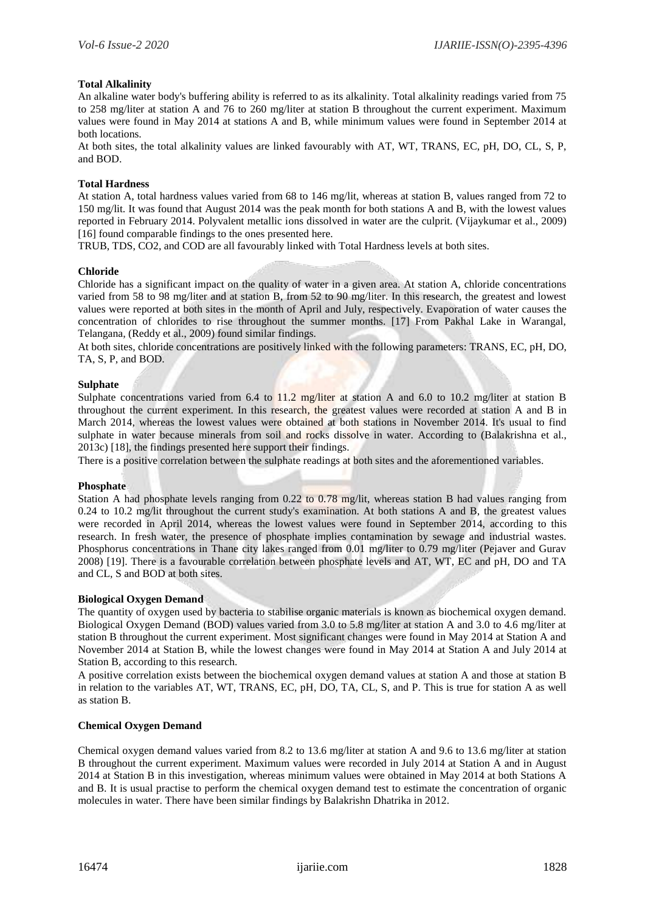#### **Total Alkalinity**

An alkaline water body's buffering ability is referred to as its alkalinity. Total alkalinity readings varied from 75 to 258 mg/liter at station A and 76 to 260 mg/liter at station B throughout the current experiment. Maximum values were found in May 2014 at stations A and B, while minimum values were found in September 2014 at both locations.

At both sites, the total alkalinity values are linked favourably with AT, WT, TRANS, EC, pH, DO, CL, S, P, and BOD.

#### **Total Hardness**

At station A, total hardness values varied from 68 to 146 mg/lit, whereas at station B, values ranged from 72 to 150 mg/lit. It was found that August 2014 was the peak month for both stations A and B, with the lowest values reported in February 2014. Polyvalent metallic ions dissolved in water are the culprit. (Vijaykumar et al., 2009) [16] found comparable findings to the ones presented here.

TRUB, TDS, CO2, and COD are all favourably linked with Total Hardness levels at both sites.

#### **Chloride**

Chloride has a significant impact on the quality of water in a given area. At station A, chloride concentrations varied from 58 to 98 mg/liter and at station B, from 52 to 90 mg/liter. In this research, the greatest and lowest values were reported at both sites in the month of April and July, respectively. Evaporation of water causes the concentration of chlorides to rise throughout the summer months. [17] From Pakhal Lake in Warangal, Telangana, (Reddy et al., 2009) found similar findings.

At both sites, chloride concentrations are positively linked with the following parameters: TRANS, EC, pH, DO, TA, S, P, and BOD.

#### **Sulphate**

Sulphate concentrations varied from 6.4 to 11.2 mg/liter at station A and 6.0 to 10.2 mg/liter at station B throughout the current experiment. In this research, the greatest values were recorded at station A and B in March 2014, whereas the lowest values were obtained at both stations in November 2014. It's usual to find sulphate in water because minerals from soil and rocks dissolve in water. According to (Balakrishna et al., 2013c) [18], the findings presented here support their findings.

There is a positive correlation between the sulphate readings at both sites and the aforementioned variables.

#### **Phosphate**

Station A had phosphate levels ranging from 0.22 to 0.78 mg/lit, whereas station B had values ranging from 0.24 to 10.2 mg/lit throughout the current study's examination. At both stations A and B, the greatest values were recorded in April 2014, whereas the lowest values were found in September 2014, according to this research. In fresh water, the presence of phosphate implies contamination by sewage and industrial wastes. Phosphorus concentrations in Thane city lakes ranged from 0.01 mg/liter to 0.79 mg/liter (Pejaver and Gurav 2008) [19]. There is a favourable correlation between phosphate levels and AT, WT, EC and pH, DO and TA and CL, S and BOD at both sites.

#### **Biological Oxygen Demand**

The quantity of oxygen used by bacteria to stabilise organic materials is known as biochemical oxygen demand. Biological Oxygen Demand (BOD) values varied from 3.0 to 5.8 mg/liter at station A and 3.0 to 4.6 mg/liter at station B throughout the current experiment. Most significant changes were found in May 2014 at Station A and November 2014 at Station B, while the lowest changes were found in May 2014 at Station A and July 2014 at Station B, according to this research.

A positive correlation exists between the biochemical oxygen demand values at station A and those at station B in relation to the variables AT, WT, TRANS, EC, pH, DO, TA, CL, S, and P. This is true for station A as well as station B.

#### **Chemical Oxygen Demand**

Chemical oxygen demand values varied from 8.2 to 13.6 mg/liter at station A and 9.6 to 13.6 mg/liter at station B throughout the current experiment. Maximum values were recorded in July 2014 at Station A and in August 2014 at Station B in this investigation, whereas minimum values were obtained in May 2014 at both Stations A and B. It is usual practise to perform the chemical oxygen demand test to estimate the concentration of organic molecules in water. There have been similar findings by Balakrishn Dhatrika in 2012.